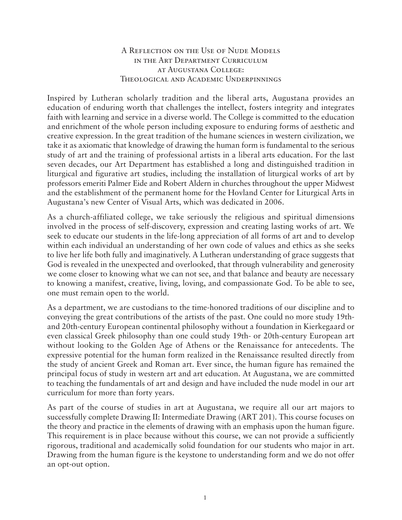## A Reflection on the Use of Nude Models in the Art Department Curriculum at Augustana College: Theological and Academic Underpinnings

Inspired by Lutheran scholarly tradition and the liberal arts, Augustana provides an education of enduring worth that challenges the intellect, fosters integrity and integrates faith with learning and service in a diverse world. The College is committed to the education and enrichment of the whole person including exposure to enduring forms of aesthetic and creative expression. In the great tradition of the humane sciences in western civilization, we take it as axiomatic that knowledge of drawing the human form is fundamental to the serious study of art and the training of professional artists in a liberal arts education. For the last seven decades, our Art Department has established a long and distinguished tradition in liturgical and figurative art studies, including the installation of liturgical works of art by professors emeriti Palmer Eide and Robert Aldern in churches throughout the upper Midwest and the establishment of the permanent home for the Hovland Center for Liturgical Arts in Augustana's new Center of Visual Arts, which was dedicated in 2006.

As a church-affiliated college, we take seriously the religious and spiritual dimensions involved in the process of self-discovery, expression and creating lasting works of art. We seek to educate our students in the life-long appreciation of all forms of art and to develop within each individual an understanding of her own code of values and ethics as she seeks to live her life both fully and imaginatively. A Lutheran understanding of grace suggests that God is revealed in the unexpected and overlooked, that through vulnerability and generosity we come closer to knowing what we can not see, and that balance and beauty are necessary to knowing a manifest, creative, living, loving, and compassionate God. To be able to see, one must remain open to the world.

As a department, we are custodians to the time-honored traditions of our discipline and to conveying the great contributions of the artists of the past. One could no more study 19thand 20th-century European continental philosophy without a foundation in Kierkegaard or even classical Greek philosophy than one could study 19th- or 20th-century European art without looking to the Golden Age of Athens or the Renaissance for antecedents. The expressive potential for the human form realized in the Renaissance resulted directly from the study of ancient Greek and Roman art. Ever since, the human figure has remained the principal focus of study in western art and art education. At Augustana, we are committed to teaching the fundamentals of art and design and have included the nude model in our art curriculum for more than forty years.

As part of the course of studies in art at Augustana, we require all our art majors to successfully complete Drawing II: Intermediate Drawing (ART 201). This course focuses on the theory and practice in the elements of drawing with an emphasis upon the human figure. This requirement is in place because without this course, we can not provide a sufficiently rigorous, traditional and academically solid foundation for our students who major in art. Drawing from the human figure is the keystone to understanding form and we do not offer an opt-out option.